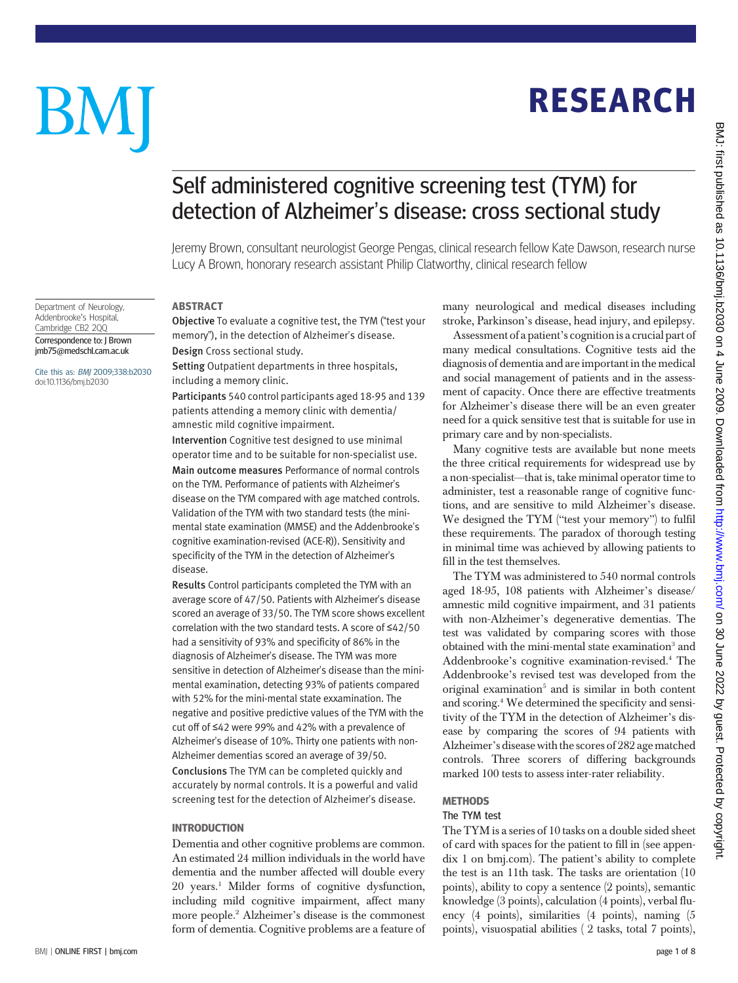### BMJ | ONLINE FIRST | bmj.com page 1 of 8

# Self administered cognitive screening test (TYM) for detection of Alzheimer's disease: cross sectional study

Jeremy Brown, consultant neurologist George Pengas, clinical research fellow Kate Dawson, research nurse Lucy A Brown, honorary research assistant Philip Clatworthy, clinical research fellow

### **ABSTRACT**

Objective To evaluate a cognitive test, the TYM ("test your memory"), in the detection of Alzheimer's disease. Design Cross sectional study.

Setting Outpatient departments in three hospitals, including a memory clinic.

Participants 540 control participants aged 18-95 and 139 patients attending a memory clinic with dementia/ amnestic mild cognitive impairment.

Intervention Cognitive test designed to use minimal operator time and to be suitable for non-specialist use. Main outcome measures Performance of normal controls on the TYM. Performance of patients with Alzheimer's disease on the TYM compared with age matched controls. Validation of the TYM with two standard tests (the minimental state examination (MMSE) and the Addenbrooke's cognitive examination-revised (ACE-R)). Sensitivity and specificity of the TYM in the detection of Alzheimer's disease.

Results Control participants completed the TYM with an average score of 47/50. Patients with Alzheimer's disease scored an average of 33/50. The TYM score shows excellent correlation with the two standard tests. A score of ≤42/50 had a sensitivity of 93% and specificity of 86% in the diagnosis of Alzheimer's disease. The TYM was more sensitive in detection of Alzheimer's disease than the minimental examination, detecting 93% of patients compared with 52% for the mini-mental state exxamination. The negative and positive predictive values of the TYM with the cut off of ≤42 were 99% and 42% with a prevalence of Alzheimer's disease of 10%. Thirty one patients with non-Alzheimer dementias scored an average of 39/50. Conclusions The TYM can be completed quickly and

accurately by normal controls. It is a powerful and valid screening test for the detection of Alzheimer's disease.

### **INTRODUCTION**

----------------<br>Dementia and other cognitive problems are common. An estimated 24 million individuals in the world have dementia and the number affected will double every 20 years.1 Milder forms of cognitive dysfunction, including mild cognitive impairment, affect many more people.2 Alzheimer's disease is the commonest form of dementia. Cognitive problems are a feature of

many neurological and medical diseases including stroke, Parkinson's disease, head injury, and epilepsy.

RESEARCH

**RESEARCH** 

Assessment of a patient's cognition is a crucial part of many medical consultations. Cognitive tests aid the diagnosis of dementia and are important in the medical and social management of patients and in the assessment of capacity. Once there are effective treatments for Alzheimer's disease there will be an even greater need for a quick sensitive test that is suitable for use in primary care and by non-specialists.

Many cognitive tests are available but none meets the three critical requirements for widespread use by a non-specialist—that is, take minimal operator time to administer, test a reasonable range of cognitive functions, and are sensitive to mild Alzheimer's disease. We designed the TYM ("test your memory") to fulfil these requirements. The paradox of thorough testing in minimal time was achieved by allowing patients to fill in the test themselves.

The TYM was administered to 540 normal controls aged 18-95, 108 patients with Alzheimer's disease/ amnestic mild cognitive impairment, and 31 patients with non-Alzheimer's degenerative dementias. The test was validated by comparing scores with those obtained with the mini-mental state examination<sup>3</sup> and Addenbrooke's cognitive examination-revised.4 The Addenbrooke's revised test was developed from the original examination<sup>5</sup> and is similar in both content and scoring.4 We determined the specificity and sensitivity of the TYM in the detection of Alzheimer's disease by comparing the scores of 94 patients with Alzheimer's disease with the scores of 282 age matched controls. Three scorers of differing backgrounds marked 100 tests to assess inter-rater reliability.

# The TYM test

The TYM is a series of 10 tasks on a double sided sheet of card with spaces for the patient to fill in (see appendix 1 on bmj.com). The patient's ability to complete the test is an 11th task. The tasks are orientation (10 points), ability to copy a sentence (2 points), semantic knowledge (3 points), calculation (4 points), verbal fluency (4 points), similarities (4 points), naming (5 points), visuospatial abilities ( 2 tasks, total 7 points),

# BM

Department of Neurology, Addenbrooke's Hospital, Cambridge CB2 2QQ Correspondence to: J Brown jmb75@medschl.cam.ac.uk Cite this as: BMJ 2009;338:b2030 doi:10.1136/bmj.b2030

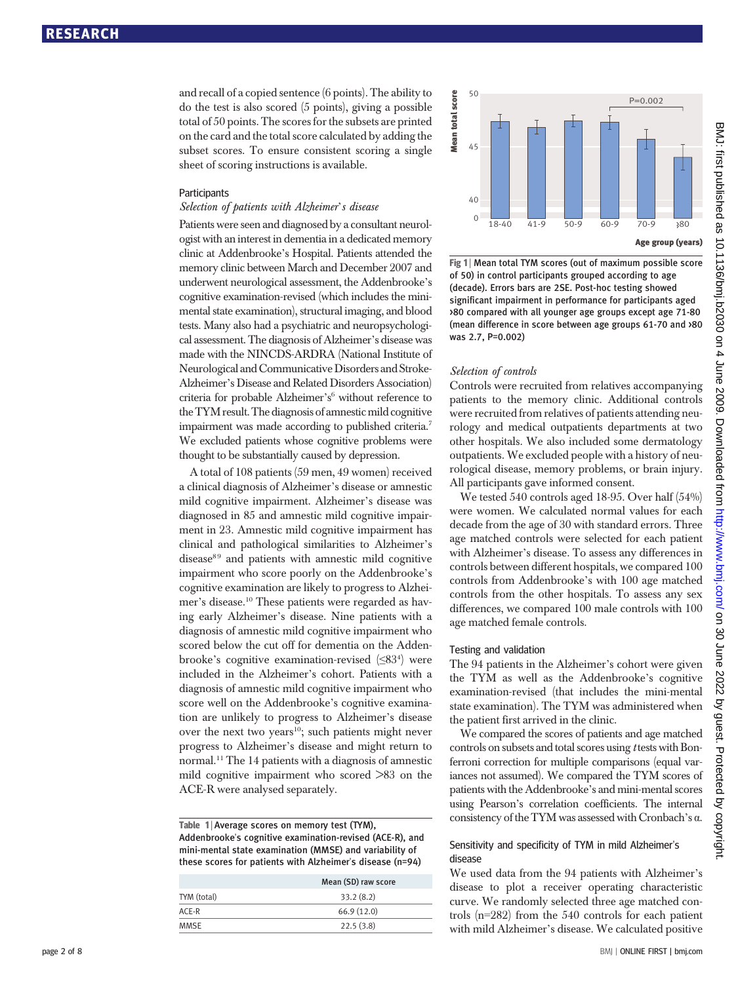and recall of a copied sentence (6 points). The ability to do the test is also scored (5 points), giving a possible total of 50 points. The scores for the subsets are printed on the card and the total score calculated by adding the subset scores. To ensure consistent scoring a single sheet of scoring instructions is available.

### **Participants**

## Selection of patients with Alzheimer's disease

Patients were seen and diagnosed by a consultant neurologist with an interest in dementia in a dedicated memory clinic at Addenbrooke's Hospital. Patients attended the memory clinic between March and December 2007 and underwent neurological assessment, the Addenbrooke's cognitive examination-revised (which includes the minimental state examination), structural imaging, and blood tests. Many also had a psychiatric and neuropsychological assessment. The diagnosis of Alzheimer's disease was made with the NINCDS-ARDRA (National Institute of Neurological and Communicative Disorders and Stroke-Alzheimer's Disease and Related Disorders Association) criteria for probable Alzheimer's <sup>6</sup> without reference to the TYM result.The diagnosis of amnesticmild cognitive impairment was made according to published criteria.7 We excluded patients whose cognitive problems were thought to be substantially caused by depression.

A total of 108 patients (59 men, 49 women) received a clinical diagnosis of Alzheimer's disease or amnestic mild cognitive impairment. Alzheimer's disease was diagnosed in 85 and amnestic mild cognitive impairment in 23. Amnestic mild cognitive impairment has clinical and pathological similarities to Alzheimer's  $disease<sup>89</sup>$  and patients with amnestic mild cognitive impairment who score poorly on the Addenbrooke's cognitive examination are likely to progress to Alzheimer's disease.10 These patients were regarded as having early Alzheimer's disease. Nine patients with a diagnosis of amnestic mild cognitive impairment who scored below the cut off for dementia on the Addenbrooke's cognitive examination-revised (≤83<sup>4</sup> ) were included in the Alzheimer's cohort. Patients with a diagnosis of amnestic mild cognitive impairment who score well on the Addenbrooke's cognitive examination are unlikely to progress to Alzheimer's disease over the next two years<sup>10</sup>; such patients might never progress to Alzheimer's disease and might return to normal.11 The 14 patients with a diagnosis of amnestic mild cognitive impairment who scored >83 on the ACE-R were analysed separately.

| Table 1 Average scores on memory test (TYM),              |
|-----------------------------------------------------------|
| Addenbrooke's cognitive examination-revised (ACE-R), and  |
| mini-mental state examination (MMSE) and variability of   |
| these scores for patients with Alzheimer's disease (n=94) |

|             | Mean (SD) raw score |
|-------------|---------------------|
| TYM (total) | 33.2(8.2)           |
| $ACF-R$     | 66.9(12.0)          |
| MMSF        | 22.5(3.8)           |
|             |                     |



Fig 1 | Mean total TYM scores (out of maximum possible score of 50) in control participants grouped according to age (decade). Errors bars are 2SE. Post-hoc testing showed significant impairment in performance for participants aged >80 compared with all younger age groups except age 71-80 (mean difference in score between age groups 61-70 and >80 was 2.7, P=0.002)

### Selection of controls

Controls were recruited from relatives accompanying patients to the memory clinic. Additional controls were recruited from relatives of patients attending neurology and medical outpatients departments at two other hospitals. We also included some dermatology outpatients. We excluded people with a history of neurological disease, memory problems, or brain injury. All participants gave informed consent.

We tested 540 controls aged 18-95. Over half (54%) were women. We calculated normal values for each decade from the age of 30 with standard errors. Three age matched controls were selected for each patient with Alzheimer's disease. To assess any differences in controls between different hospitals, we compared 100 controls from Addenbrooke's with 100 age matched controls from the other hospitals. To assess any sex differences, we compared 100 male controls with 100 age matched female controls.

### Testing and validation

The 94 patients in the Alzheimer's cohort were given the TYM as well as the Addenbrooke's cognitive examination-revised (that includes the mini-mental state examination). The TYM was administered when the patient first arrived in the clinic.

We compared the scores of patients and age matched controls on subsets and total scores using t tests with Bonferroni correction for multiple comparisons (equal variances not assumed). We compared the TYM scores of patients with the Addenbrooke's and mini-mental scores using Pearson's correlation coefficients. The internal consistency of the TYM was assessed with Cronbach's α.

# Sensitivity and specificity of TYM in mild Alzheimer's disease

We used data from the 94 patients with Alzheimer's disease to plot a receiver operating characteristic curve. We randomly selected three age matched controls (n=282) from the 540 controls for each patient with mild Alzheimer's disease. We calculated positive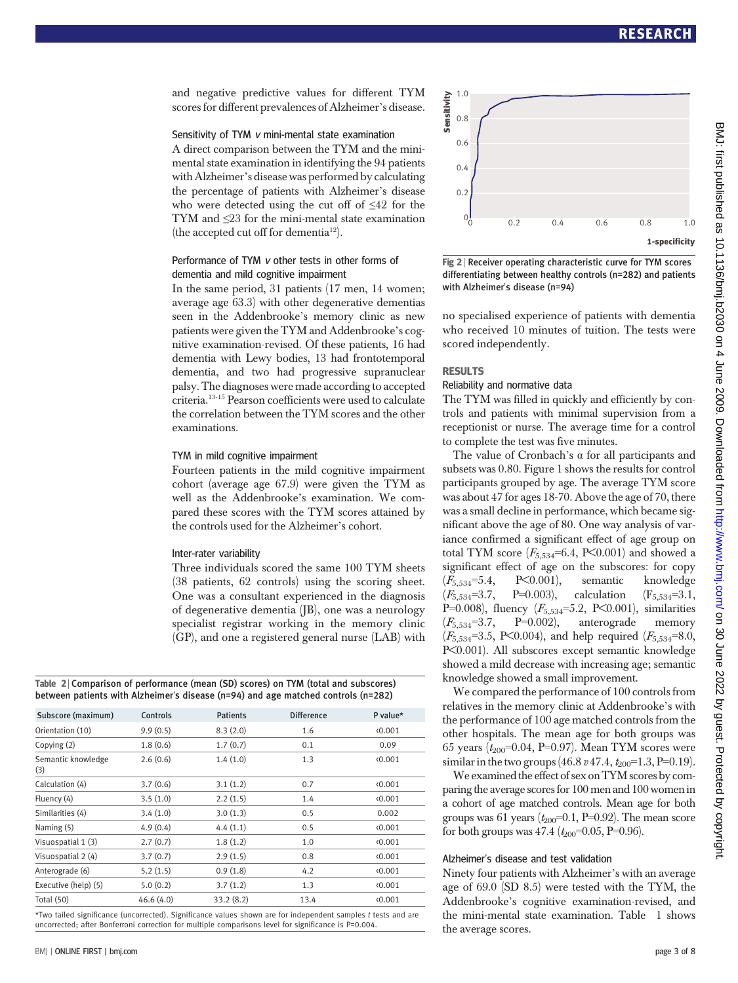and negative predictive values for different TYM scores for different prevalences of Alzheimer's disease.

### Sensitivity of TYM <sup>v</sup> mini-mental state examination

A direct comparison between the TYM and the minimental state examination in identifying the 94 patients with Alzheimer's disease was performed by calculating the percentage of patients with Alzheimer's disease who were detected using the cut off of  $\leq 42$  for the TYM and ≤23 for the mini-mental state examination (the accepted cut off for dementia<sup>12</sup>).

### Performance of TYM <sup>v</sup> other tests in other forms of dementia and mild cognitive impairment

In the same period, 31 patients (17 men, 14 women; average age 63.3) with other degenerative dementias seen in the Addenbrooke's memory clinic as new patients were given the TYM and Addenbrooke's cognitive examination-revised. Of these patients, 16 had dementia with Lewy bodies, 13 had frontotemporal dementia, and two had progressive supranuclear palsy. The diagnoses were made according to accepted criteria.13-15 Pearson coefficients were used to calculate the correlation between the TYM scores and the other examinations.

### TYM in mild cognitive impairment

Fourteen patients in the mild cognitive impairment cohort (average age 67.9) were given the TYM as well as the Addenbrooke's examination. We compared these scores with the TYM scores attained by the controls used for the Alzheimer's cohort.

### Inter-rater variability

Three individuals scored the same 100 TYM sheets (38 patients, 62 controls) using the scoring sheet. One was a consultant experienced in the diagnosis of degenerative dementia (JB), one was a neurology specialist registrar working in the memory clinic (GP), and one a registered general nurse (LAB) with

Table 2 | Comparison of performance (mean (SD) scores) on TYM (total and subscores) between patients with Alzheimer's disease (n=94) and age matched controls (n=282)

| Subscore (maximum)        | Controls  | <b>Patients</b> | <b>Difference</b> | P value* |
|---------------------------|-----------|-----------------|-------------------|----------|
| Orientation (10)          | 9.9(0.5)  | 8.3(2.0)        | 1.6               | (0.001)  |
| Copying (2)               | 1.8(0.6)  | 1.7(0.7)        | 0.1               | 0.09     |
| Semantic knowledge<br>(3) | 2.6(0.6)  | 1.4(1.0)        | 1.3               | (0.001)  |
| Calculation (4)           | 3.7(0.6)  | 3.1(1.2)        | 0.7               | (0.001)  |
| Fluency (4)               | 3.5(1.0)  | 2.2(1.5)        | 1.4               | 0.001    |
| Similarities (4)          | 3.4(1.0)  | 3.0(1.3)        | 0.5               | 0.002    |
| Naming (5)                | 4.9(0.4)  | 4.4(1.1)        | 0.5               | (0.001)  |
| Visuospatial 1 (3)        | 2.7(0.7)  | 1.8(1.2)        | 1.0               | (0.001)  |
| Visuospatial 2 (4)        | 3.7(0.7)  | 2.9(1.5)        | 0.8               | (0.001)  |
| Anterograde (6)           | 5.2(1.5)  | 0.9(1.8)        | 4.2               | (0.001)  |
| Executive (help) (5)      | 5.0(0.2)  | 3.7(1.2)        | 1.3               | (0.001)  |
| <b>Total (50)</b>         | 46.6(4.0) | 33.2(8.2)       | 13.4              | (0.001)  |

\*Two tailed significance (uncorrected). Significance values shown are for independent samples t tests and are uncorrected; after Bonferroni correction for multiple comparisons level for significance is P=0.004.



Fig 2 | Receiver operating characteristic curve for TYM scores differentiating between healthy controls (n=282) and patients with Alzheimer's disease (n=94)

no specialised experience of patients with dementia who received 10 minutes of tuition. The tests were scored independently.

## **RESULTS**

# Reliability and normative data

The TYM was filled in quickly and efficiently by controls and patients with minimal supervision from a receptionist or nurse. The average time for a control to complete the test was five minutes.

The value of Cronbach's  $\alpha$  for all participants and subsets was 0.80. Figure 1 shows the results for control participants grouped by age. The average TYM score was about 47 for ages 18-70. Above the age of 70, there was a small decline in performance, which became significant above the age of 80. One way analysis of variance confirmed a significant effect of age group on total TYM score  $(F_{5,534} = 6.4, P \le 0.001)$  and showed a significant effect of age on the subscores: for copy (F5,534=5.4, P<0.001), semantic knowledge  $(F_{5,534}=3.7, \quad P=0.003), \quad \text{calculation} \quad (F_{5,534}=3.1,$ P=0.008), fluency  $(F_{5,534} = 5.2, P \le 0.001)$ , similarities  $(F_{5.534}=3.7,$  P=0.002), anterograde memory  $(F_{5,534}=3.5, P<0.004)$ , and help required  $(F_{5,534}=8.0,$ P<0.001). All subscores except semantic knowledge showed a mild decrease with increasing age; semantic knowledge showed a small improvement.

We compared the performance of 100 controls from relatives in the memory clinic at Addenbrooke's with the performance of 100 age matched controls from the other hospitals. The mean age for both groups was 65 years ( $t_{200}$ =0.04, P=0.97). Mean TYM scores were similar in the two groups (46.8  $v$  47.4,  $t_{200}$ =1.3, P=0.19).

We examined the effect of sex on TYM scores by comparing the average scores for 100 men and 100 women in a cohort of age matched controls. Mean age for both groups was 61 years  $(t_{200}=0.1, P=0.92)$ . The mean score for both groups was  $47.4$  ( $t_{200}$ =0.05, P=0.96).

### Alzheimer's disease and test validation

Ninety four patients with Alzheimer's with an average age of 69.0 (SD 8.5) were tested with the TYM, the Addenbrooke's cognitive examination-revised, and the mini-mental state examination. Table 1 shows the average scores.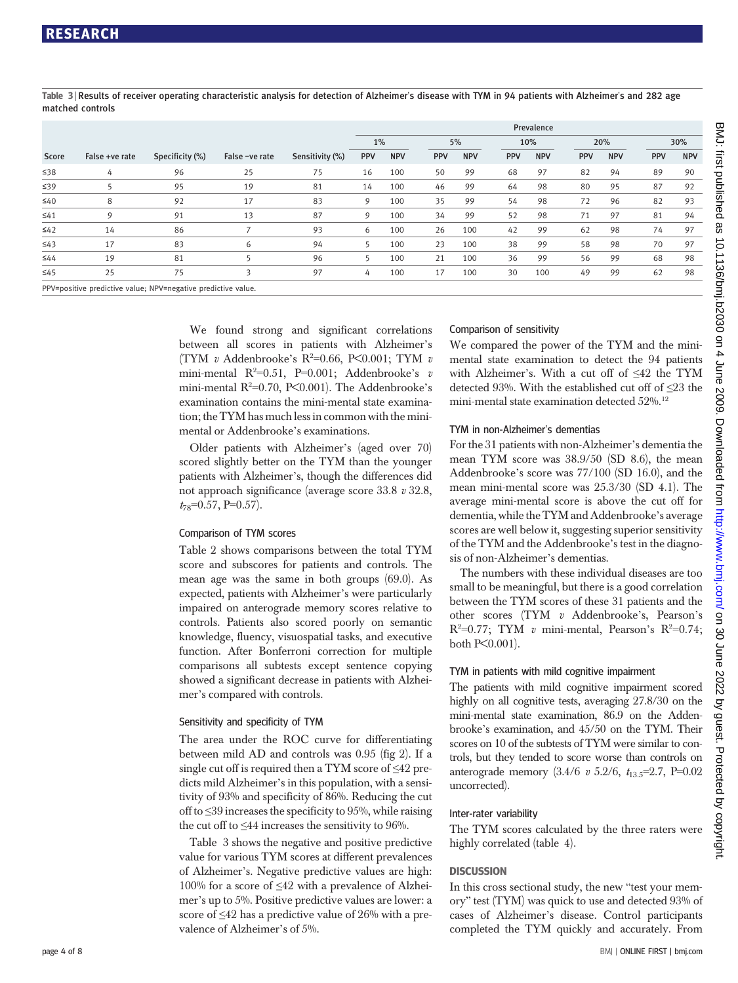Table 3 <sup>|</sup> Results of receiver operating characteristic analysis for detection of Alzheimer's disease with TYM in 94 patients with Alzheimer's and 282 age matched controls

|           |                |                 |                |                 | Prevalence |            |            |            |            |            |            |            |     |            |
|-----------|----------------|-----------------|----------------|-----------------|------------|------------|------------|------------|------------|------------|------------|------------|-----|------------|
|           |                |                 |                |                 | 1%         |            |            | 5%         |            | 10%        |            | 20%        |     | 30%        |
| Score     | False +ve rate | Specificity (%) | False -ve rate | Sensitivity (%) | <b>PPV</b> | <b>NPV</b> | <b>PPV</b> | <b>NPV</b> | <b>PPV</b> | <b>NPV</b> | <b>PPV</b> | <b>NPV</b> | PPV | <b>NPV</b> |
| ≤38       | 4              | 96              | 25             | 75              | 16         | 100        | 50         | 99         | 68         | 97         | 82         | 94         | 89  | 90         |
| $\leq 39$ |                | 95              | 19             | 81              | 14         | 100        | 46         | 99         | 64         | 98         | 80         | 95         | 87  | 92         |
| $\leq 40$ | 8              | 92              | 17             | 83              | 9          | 100        | 35         | 99         | 54         | 98         | 72         | 96         | 82  | 93         |
| $\leq 41$ | Q              | 91              | 13             | 87              | 9          | 100        | 34         | 99         | 52         | 98         | 71         | 97         | 81  | 94         |
| $\leq 42$ | 14             | 86              |                | 93              | 6          | 100        | 26         | 100        | 42         | 99         | 62         | 98         | 74  | 97         |
| $\leq 43$ | 17             | 83              | 6              | 94              | 5          | 100        | 23         | 100        | 38         | 99         | 58         | 98         | 70  | 97         |
| $\leq 44$ | 19             | 81              |                | 96              | 5          | 100        | 21         | 100        | 36         | 99         | 56         | 99         | 68  | 98         |
| $\leq 45$ | 25             | 75              | 3              | 97              | 4          | 100        | 17         | 100        | 30         | 100        | 49         | 99         | 62  | 98         |

PPV=positive predictive value; NPV=negative predictive value

We found strong and significant correlations between all scores in patients with Alzheimer's (TYM v Addenbrooke's  $R^2=0.66$ , P<0.001; TYM v mini-mental  $R^2=0.51$ , P=0.001; Addenbrooke's  $v$ mini-mental R<sup>2</sup>=0.70, P<0.001). The Addenbrooke's examination contains the mini-mental state examination; the TYM has much less in common with the minimental or Addenbrooke's examinations.

Older patients with Alzheimer's (aged over 70) scored slightly better on the TYM than the younger patients with Alzheimer's, though the differences did not approach significance (average score 33.8 v 32.8,  $t_{78}$ =0.57, P=0.57).

### Comparison of TYM scores

Table 2 shows comparisons between the total TYM score and subscores for patients and controls. The mean age was the same in both groups (69.0). As expected, patients with Alzheimer's were particularly impaired on anterograde memory scores relative to controls. Patients also scored poorly on semantic knowledge, fluency, visuospatial tasks, and executive function. After Bonferroni correction for multiple comparisons all subtests except sentence copying showed a significant decrease in patients with Alzheimer's compared with controls.

### Sensitivity and specificity of TYM

The area under the ROC curve for differentiating between mild AD and controls was 0.95 (fig 2). If a single cut off is required then a TYM score of  $\leq 42$  predicts mild Alzheimer's in this population, with a sensitivity of 93% and specificity of 86%. Reducing the cut off to ≤39 increases the specificity to 95%, while raising the cut off to  $\leq 44$  increases the sensitivity to 96%.

Table 3 shows the negative and positive predictive value for various TYM scores at different prevalences of Alzheimer's. Negative predictive values are high: 100% for a score of ≤42 with a prevalence of Alzheimer's up to 5%. Positive predictive values are lower: a score of ≤42 has a predictive value of 26% with a prevalence of Alzheimer's of 5%.

### Comparison of sensitivity

We compared the power of the TYM and the minimental state examination to detect the 94 patients with Alzheimer's. With a cut off of ≤42 the TYM detected 93%. With the established cut off of ≤23 the mini-mental state examination detected 52%.12

### TYM in non-Alzheimer's dementias

For the 31 patients with non-Alzheimer's dementia the mean TYM score was 38.9/50 (SD 8.6), the mean Addenbrooke's score was 77/100 (SD 16.0), and the mean mini-mental score was 25.3/30 (SD 4.1). The average mini-mental score is above the cut off for dementia, while the TYM and Addenbrooke's average scores are well below it, suggesting superior sensitivity of the TYM and the Addenbrooke's test in the diagnosis of non-Alzheimer's dementias.

The numbers with these individual diseases are too small to be meaningful, but there is a good correlation between the TYM scores of these 31 patients and the other scores (TYM v Addenbrooke's, Pearson's  $R^2=0.77$ ; TYM v mini-mental, Pearson's  $R^2=0.74$ ; both P<0.001).

### TYM in patients with mild cognitive impairment

The patients with mild cognitive impairment scored highly on all cognitive tests, averaging 27.8/30 on the mini-mental state examination, 86.9 on the Addenbrooke's examination, and 45/50 on the TYM. Their scores on 10 of the subtests of TYM were similar to controls, but they tended to score worse than controls on anterograde memory  $(3.4/6 \text{ v } 5.2/6, t_{13.5} = 2.7, P = 0.02)$ uncorrected).

### Inter-rater variability

The TYM scores calculated by the three raters were highly correlated (table 4).

In this cross sectional study, the new "test your memory" test (TYM) was quick to use and detected 93% of cases of Alzheimer's disease. Control participants completed the TYM quickly and accurately. From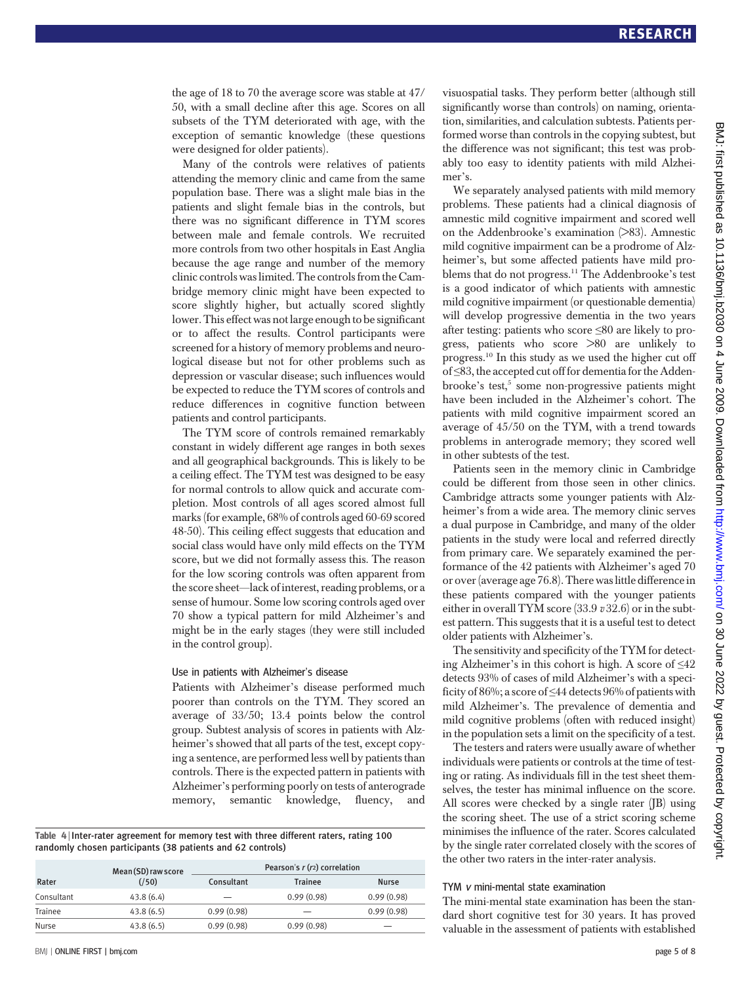the age of 18 to 70 the average score was stable at 47/ 50, with a small decline after this age. Scores on all subsets of the TYM deteriorated with age, with the exception of semantic knowledge (these questions were designed for older patients).

Many of the controls were relatives of patients attending the memory clinic and came from the same population base. There was a slight male bias in the patients and slight female bias in the controls, but there was no significant difference in TYM scores between male and female controls. We recruited more controls from two other hospitals in East Anglia because the age range and number of the memory clinic controls was limited. The controls from the Cambridge memory clinic might have been expected to score slightly higher, but actually scored slightly lower. This effect was not large enough to be significant or to affect the results. Control participants were screened for a history of memory problems and neurological disease but not for other problems such as depression or vascular disease; such influences would be expected to reduce the TYM scores of controls and reduce differences in cognitive function between patients and control participants.

The TYM score of controls remained remarkably constant in widely different age ranges in both sexes and all geographical backgrounds. This is likely to be a ceiling effect. The TYM test was designed to be easy for normal controls to allow quick and accurate completion. Most controls of all ages scored almost full marks (for example, 68% of controls aged 60-69 scored 48-50). This ceiling effect suggests that education and social class would have only mild effects on the TYM score, but we did not formally assess this. The reason for the low scoring controls was often apparent from the score sheet—lack of interest, reading problems, or a sense of humour. Some low scoring controls aged over 70 show a typical pattern for mild Alzheimer's and might be in the early stages (they were still included in the control group).

### Use in patients with Alzheimer's disease

Patients with Alzheimer's disease performed much poorer than controls on the TYM. They scored an average of 33/50; 13.4 points below the control group. Subtest analysis of scores in patients with Alzheimer's showed that all parts of the test, except copying a sentence, are performed less well by patients than controls. There is the expected pattern in patients with Alzheimer's performing poorly on tests of anterograde memory, semantic knowledge, fluency, and

Table 4 <sup>|</sup> Inter-rater agreement for memory test with three different raters, rating 100 randomly chosen participants (38 patients and 62 controls)

|            | Mean (SD) raw score |            | Pearson's $r(r2)$ correlation |            |
|------------|---------------------|------------|-------------------------------|------------|
| Rater      | (750)               | Consultant | <b>Trainee</b>                | Nurse      |
| Consultant | 43.8(6.4)           |            | 0.99(0.98)                    | 0.99(0.98) |
| Trainee    | 43.8(6.5)           | 0.99(0.98) |                               | 0.99(0.98) |
| Nurse      | 43.8(6.5)           | 0.99(0.98) | 0.99(0.98)                    | -          |

visuospatial tasks. They perform better (although still significantly worse than controls) on naming, orientation, similarities, and calculation subtests. Patients performed worse than controls in the copying subtest, but the difference was not significant; this test was probably too easy to identity patients with mild Alzheimer's.

We separately analysed patients with mild memory problems. These patients had a clinical diagnosis of amnestic mild cognitive impairment and scored well on the Addenbrooke's examination (>83). Amnestic mild cognitive impairment can be a prodrome of Alzheimer's, but some affected patients have mild problems that do not progress.<sup>11</sup> The Addenbrooke's test is a good indicator of which patients with amnestic mild cognitive impairment (or questionable dementia) will develop progressive dementia in the two years after testing: patients who score ≤80 are likely to progress, patients who score >80 are unlikely to progress.10 In this study as we used the higher cut off of ≤83, the accepted cut off for dementia for the Addenbrooke's test,<sup>5</sup> some non-progressive patients might have been included in the Alzheimer's cohort. The patients with mild cognitive impairment scored an average of 45/50 on the TYM, with a trend towards problems in anterograde memory; they scored well in other subtests of the test.

Patients seen in the memory clinic in Cambridge could be different from those seen in other clinics. Cambridge attracts some younger patients with Alzheimer's from a wide area. The memory clinic serves a dual purpose in Cambridge, and many of the older patients in the study were local and referred directly from primary care. We separately examined the performance of the 42 patients with Alzheimer's aged 70 or over (average age 76.8). There was little difference in these patients compared with the younger patients either in overall TYM score  $(33.9 \text{ v } 32.6)$  or in the subtest pattern. This suggests that it is a useful test to detect older patients with Alzheimer's.

The sensitivity and specificity of the TYM for detecting Alzheimer's in this cohort is high. A score of  $\leq 42$ detects 93% of cases of mild Alzheimer's with a specificity of 86%; a score of ≤44 detects 96% of patients with mild Alzheimer's. The prevalence of dementia and mild cognitive problems (often with reduced insight) in the population sets a limit on the specificity of a test.

The testers and raters were usually aware of whether individuals were patients or controls at the time of testing or rating. As individuals fill in the test sheet themselves, the tester has minimal influence on the score. All scores were checked by a single rater (JB) using the scoring sheet. The use of a strict scoring scheme minimises the influence of the rater. Scores calculated by the single rater correlated closely with the scores of the other two raters in the inter-rater analysis.

### TYM <sup>v</sup> mini-mental state examination

The mini-mental state examination has been the standard short cognitive test for 30 years. It has proved valuable in the assessment of patients with established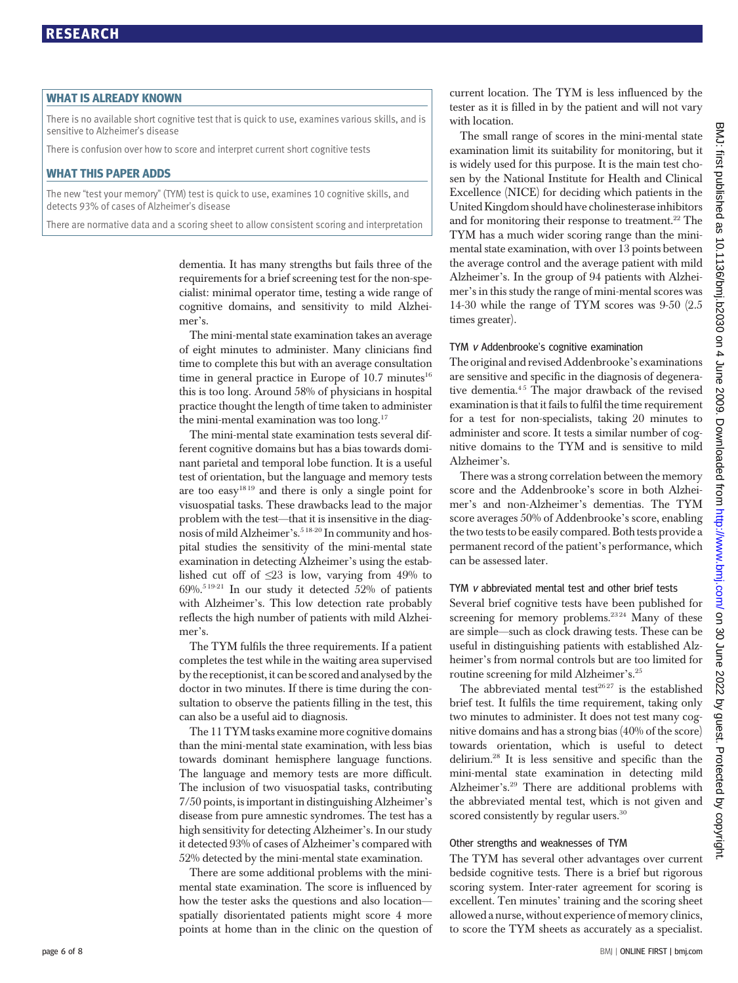-<br>There is no available short cognitive test that is quick to use, examines various skills, and is sensitive to Alzheimer's disease

There is confusion over how to score and interpret current short cognitive tests

WHAT THIS PAPER ADDS The new "test your memory" (TYM) test is quick to use, examines 10 cognitive skills, and detects 93% of cases of Alzheimer's disease

There are normative data and a scoring sheet to allow consistent scoring and interpretation

dementia. It has many strengths but fails three of the requirements for a brief screening test for the non-specialist: minimal operator time, testing a wide range of cognitive domains, and sensitivity to mild Alzheimer's.

The mini-mental state examination takes an average of eight minutes to administer. Many clinicians find time to complete this but with an average consultation time in general practice in Europe of  $10.7$  minutes<sup>16</sup> this is too long. Around 58% of physicians in hospital practice thought the length of time taken to administer the mini-mental examination was too long.<sup>17</sup>

The mini-mental state examination tests several different cognitive domains but has a bias towards dominant parietal and temporal lobe function. It is a useful test of orientation, but the language and memory tests are too easy<sup>1819</sup> and there is only a single point for visuospatial tasks. These drawbacks lead to the major problem with the test—that it is insensitive in the diagnosis of mild Alzheimer's.<sup>518-20</sup> In community and hospital studies the sensitivity of the mini-mental state examination in detecting Alzheimer's using the established cut off of  $\leq 23$  is low, varying from 49% to  $69\%$ <sup>5 19-21</sup> In our study it detected 52% of patients with Alzheimer's. This low detection rate probably reflects the high number of patients with mild Alzheimer's.

The TYM fulfils the three requirements. If a patient completes the test while in the waiting area supervised by the receptionist, it can be scored and analysed by the doctor in two minutes. If there is time during the consultation to observe the patients filling in the test, this can also be a useful aid to diagnosis.

The 11 TYM tasks examine more cognitive domains than the mini-mental state examination, with less bias towards dominant hemisphere language functions. The language and memory tests are more difficult. The inclusion of two visuospatial tasks, contributing 7/50 points, is important in distinguishing Alzheimer's disease from pure amnestic syndromes. The test has a high sensitivity for detecting Alzheimer's. In our study it detected 93% of cases of Alzheimer's compared with 52% detected by the mini-mental state examination.

There are some additional problems with the minimental state examination. The score is influenced by how the tester asks the questions and also location spatially disorientated patients might score 4 more points at home than in the clinic on the question of current location. The TYM is less influenced by the tester as it is filled in by the patient and will not vary with location.

The small range of scores in the mini-mental state examination limit its suitability for monitoring, but it is widely used for this purpose. It is the main test chosen by the National Institute for Health and Clinical Excellence (NICE) for deciding which patients in the United Kingdom should have cholinesterase inhibitors and for monitoring their response to treatment.<sup>22</sup> The TYM has a much wider scoring range than the minimental state examination, with over 13 points between the average control and the average patient with mild Alzheimer's. In the group of 94 patients with Alzheimer's in this study the range of mini-mental scores was 14-30 while the range of TYM scores was 9-50 (2.5 times greater).

### TYM <sup>v</sup> Addenbrooke's cognitive examination

The original and revised Addenbrooke's examinations are sensitive and specific in the diagnosis of degenerative dementia.<sup>45</sup> The major drawback of the revised examination is that it fails to fulfil the time requirement for a test for non-specialists, taking 20 minutes to administer and score. It tests a similar number of cognitive domains to the TYM and is sensitive to mild Alzheimer's.

There was a strong correlation between the memory score and the Addenbrooke's score in both Alzheimer's and non-Alzheimer's dementias. The TYM score averages 50% of Addenbrooke's score, enabling the two tests to be easily compared. Both tests provide a permanent record of the patient's performance, which can be assessed later.

### TYM <sup>v</sup> abbreviated mental test and other brief tests

Several brief cognitive tests have been published for screening for memory problems.<sup>2324</sup> Many of these are simple—such as clock drawing tests. These can be useful in distinguishing patients with established Alzheimer's from normal controls but are too limited for routine screening for mild Alzheimer's.25

The abbreviated mental test<sup>2627</sup> is the established brief test. It fulfils the time requirement, taking only two minutes to administer. It does not test many cognitive domains and has a strong bias (40% of the score) towards orientation, which is useful to detect delirium.28 It is less sensitive and specific than the mini-mental state examination in detecting mild Alzheimer's.29 There are additional problems with the abbreviated mental test, which is not given and scored consistently by regular users.<sup>30</sup>

### Other strengths and weaknesses of TYM

The TYM has several other advantages over current bedside cognitive tests. There is a brief but rigorous scoring system. Inter-rater agreement for scoring is excellent. Ten minutes' training and the scoring sheet allowed a nurse, without experience of memory clinics, to score the TYM sheets as accurately as a specialist.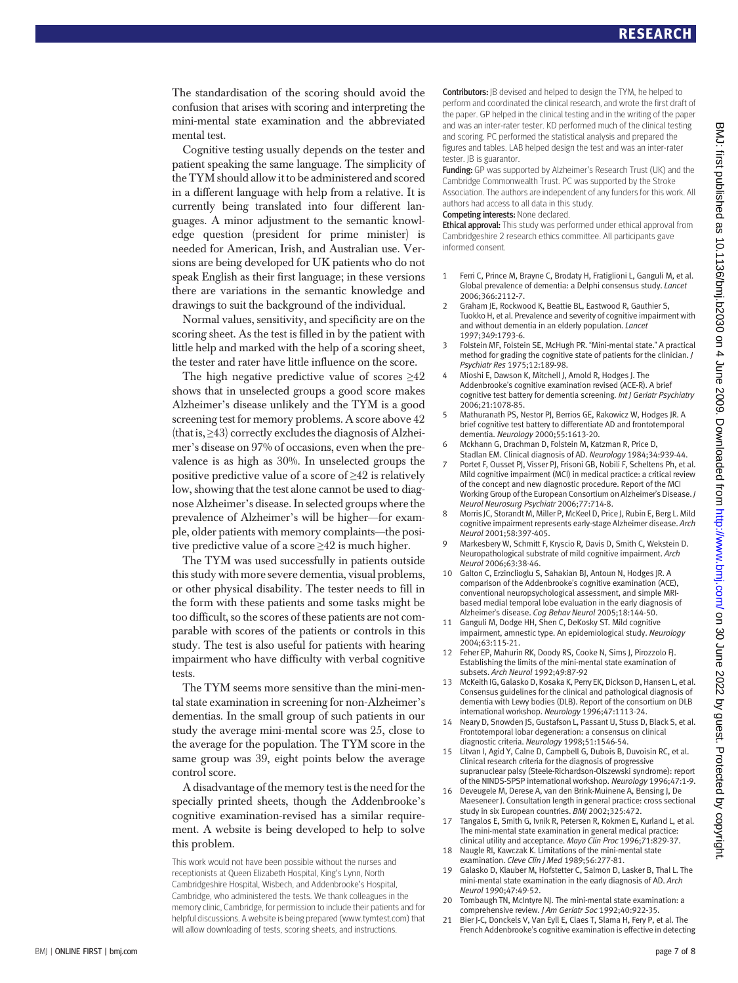The standardisation of the scoring should avoid the confusion that arises with scoring and interpreting the mini-mental state examination and the abbreviated mental test.

Cognitive testing usually depends on the tester and patient speaking the same language. The simplicity of the TYM should allow it to be administered and scored in a different language with help from a relative. It is currently being translated into four different languages. A minor adjustment to the semantic knowledge question (president for prime minister) is needed for American, Irish, and Australian use. Versions are being developed for UK patients who do not speak English as their first language; in these versions there are variations in the semantic knowledge and drawings to suit the background of the individual.

Normal values, sensitivity, and specificity are on the scoring sheet. As the test is filled in by the patient with little help and marked with the help of a scoring sheet, the tester and rater have little influence on the score.

The high negative predictive value of scores  $\geq 42$ shows that in unselected groups a good score makes Alzheimer's disease unlikely and the TYM is a good screening test for memory problems. A score above 42 (that is, ≥43) correctly excludes the diagnosis of Alzheimer's disease on 97% of occasions, even when the prevalence is as high as 30%. In unselected groups the positive predictive value of a score of  $\geq 42$  is relatively low, showing that the test alone cannot be used to diagnose Alzheimer's disease. In selected groups where the prevalence of Alzheimer's will be higher—for example, older patients with memory complaints—the positive predictive value of a score ≥42 is much higher.

The TYM was used successfully in patients outside this study with more severe dementia, visual problems, or other physical disability. The tester needs to fill in the form with these patients and some tasks might be too difficult, so the scores of these patients are not comparable with scores of the patients or controls in this study. The test is also useful for patients with hearing impairment who have difficulty with verbal cognitive tests.

The TYM seems more sensitive than the mini-mental state examination in screening for non-Alzheimer's dementias. In the small group of such patients in our study the average mini-mental score was 25, close to the average for the population. The TYM score in the same group was 39, eight points below the average control score.

A disadvantage of the memory test is the need for the specially printed sheets, though the Addenbrooke's cognitive examination-revised has a similar requirement. A website is being developed to help to solve this problem.

This work would not have been possible without the nurses and receptionists at Queen Elizabeth Hospital, King's Lynn, North Cambridgeshire Hospital, Wisbech, and Addenbrooke's Hospital, Cambridge, who administered the tests. We thank colleagues in the memory clinic, Cambridge, for permission to include their patients and for helpful discussions. A website is being prepared (www.tymtest.com) that will allow downloading of tests, scoring sheets, and instructions.

Contributors: JB devised and helped to design the TYM, he helped to perform and coordinated the clinical research, and wrote the first draft of the paper. GP helped in the clinical testing and in the writing of the paper and was an inter-rater tester. KD performed much of the clinical testing and scoring. PC performed the statistical analysis and prepared the figures and tables. LAB helped design the test and was an inter-rater tester. JB is guarantor.

Funding: GP was supported by Alzheimer's Research Trust (UK) and the Cambridge Commonwealth Trust. PC was supported by the Stroke Association. The authors are independent of any funders for this work. All authors had access to all data in this study.

### Competing interests: None declared.

**Ethical approval:** This study was performed under ethical approval from Cambridgeshire 2 research ethics committee. All participants gave informed consent.

- 1 Ferri C, Prince M, Brayne C, Brodaty H, Fratiglioni L, Ganguli M, et al. Global prevalence of dementia: a Delphi consensus study. Lancet 2006;366:2112-7.
- 2 Graham JE, Rockwood K, Beattie BL, Eastwood R, Gauthier S, Tuokko H, et al. Prevalence and severity of cognitive impairment with and without dementia in an elderly population. Lancet 1997;349:1793-6.
- 3 Folstein MF, Folstein SE, McHugh PR. "Mini-mental state." A practical method for grading the cognitive state of patients for the clinician. J Psychiatr Res 1975;12:189-98.
- 4 Mioshi E, Dawson K, Mitchell J, Arnold R, Hodges J. The Addenbrooke's cognitive examination revised (ACE-R). A brief cognitive test battery for dementia screening. Int J Geriatr Psychiatry 2006;21:1078-85.
- 5 Mathuranath PS, Nestor PJ, Berrios GE, Rakowicz W, Hodges JR. A brief cognitive test battery to differentiate AD and frontotemporal dementia. Neurology 2000;55:1613-20.
- 6 Mckhann G, Drachman D, Folstein M, Katzman R, Price D, Stadlan EM. Clinical diagnosis of AD. Neurology 1984;34:939-44.
- Portet F, Ousset PJ, Visser PJ, Frisoni GB, Nobili F, Scheltens Ph, et al. Mild cognitive impairment (MCI) in medical practice: a critical review of the concept and new diagnostic procedure. Report of the MCI Working Group of the European Consortium on Alzheimer's Disease. J Neurol Neurosurg Psychiatr 2006;77:714-8.
- Morris JC, Storandt M, Miller P, McKeel D, Price J, Rubin E, Berg L. Mild cognitive impairment represents early-stage Alzheimer disease. Arch Neurol 2001;58:397-405.
- 9 Markesbery W, Schmitt F, Kryscio R, Davis D, Smith C, Wekstein D. Neuropathological substrate of mild cognitive impairment. Arch Neurol 2006;63:38-46.
- 10 Galton C, Erzinclioglu S, Sahakian BJ, Antoun N, Hodges JR. A comparison of the Addenbrooke's cognitive examination (ACE), conventional neuropsychological assessment, and simple MRIbased medial temporal lobe evaluation in the early diagnosis of Alzheimer's disease. Cog Behav Neurol 2005;18:144-50.
- 11 Ganguli M, Dodge HH, Shen C, DeKosky ST. Mild cognitive impairment, amnestic type. An epidemiological study. Neurology 2004;63:115-21.
- 12 Feher EP, Mahurin RK, Doody RS, Cooke N, Sims J, Pirozzolo FJ. Establishing the limits of the mini-mental state examination of subsets. Arch Neurol 1992;49:87-92
- 13 McKeith IG, Galasko D, Kosaka K, Perry EK, Dickson D, Hansen L, et al. Consensus guidelines for the clinical and pathological diagnosis of dementia with Lewy bodies (DLB). Report of the consortium on DLB international workshop. Neurology 1996;47:1113-24.
- 14 Neary D, Snowden JS, Gustafson L, Passant U, Stuss D, Black S, et al. Frontotemporal lobar degeneration: a consensus on clinical diagnostic criteria. Neurology 1998;51:1546-54.
- 15 Litvan I, Agid Y, Calne D, Campbell G, Dubois B, Duvoisin RC, et al. Clinical research criteria for the diagnosis of progressive supranuclear palsy (Steele-Richardson-Olszewski syndrome): report of the NINDS-SPSP international workshop. Neurology 1996;47:1-9.
- 16 Deveugele M, Derese A, van den Brink-Muinene A, Bensing J, De Maeseneer J. Consultation length in general practice: cross sectional study in six European countries. BMJ 2002;325:472.
- 17 Tangalos E, Smith G, Ivnik R, Petersen R, Kokmen E, Kurland L, et al. The mini-mental state examination in general medical practice: clinical utility and acceptance. Mayo Clin Proc 1996;71:829-37.
- 18 Naugle RI, Kawczak K. Limitations of the mini-mental state examination. Cleve Clin J Med 1989;56:277-81.
- 19 Galasko D, Klauber M, Hofstetter C, Salmon D, Lasker B, Thal L. The mini-mental state examination in the early diagnosis of AD. Arch Neurol 1990;47:49-52.
- 20 Tombaugh TN, McIntyre NJ. The mini-mental state examination: a comprehensive review. J Am Geriatr Soc 1992;40:922-35.
- 21 Bier J-C, Donckels V, Van Eyll E, Claes T, Slama H, Fery P, et al. The French Addenbrooke's cognitive examination is effective in detecting